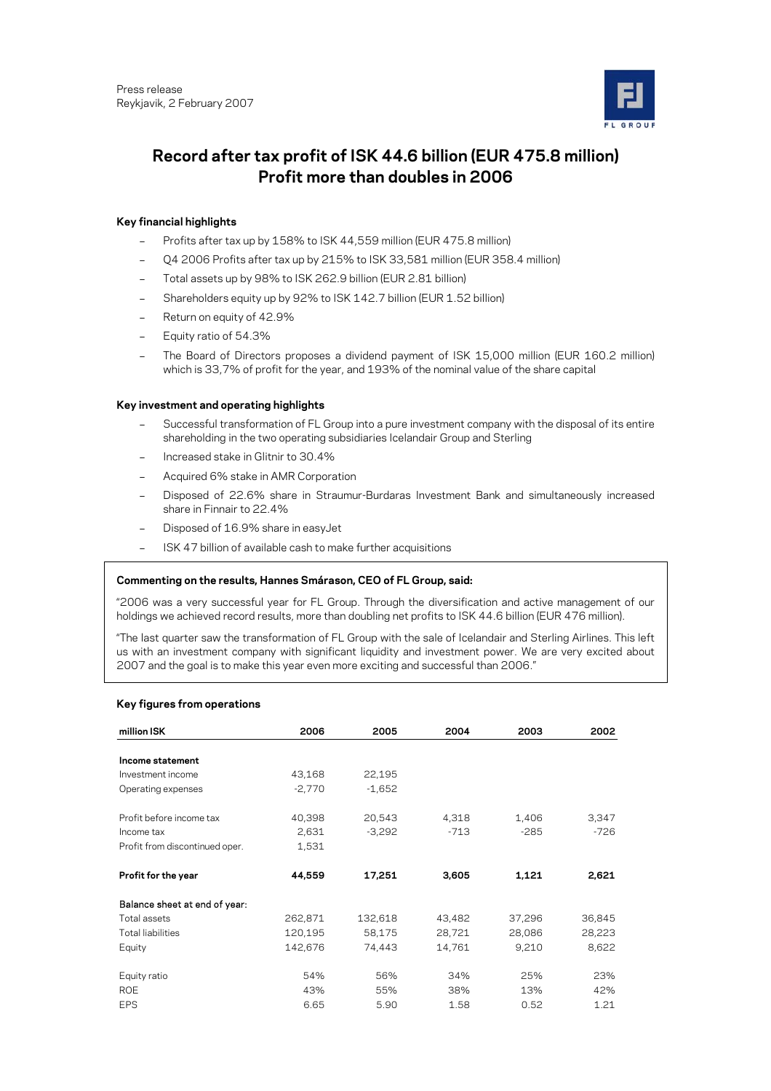

# **Record after tax profit of ISK 44.6 billion (EUR 475.8 million) Profit more than doubles in 2006**

# **Key financial highlights**

- Profits after tax up by 158% to ISK 44,559 million (EUR 475.8 million)
- Q4 2006 Profits after tax up by 215% to ISK 33,581 million (EUR 358.4 million)
- Total assets up by 98% to ISK 262.9 billion (EUR 2.81 billion)
- Shareholders equity up by 92% to ISK 142.7 billion (EUR 1.52 billion)
- Return on equity of 42.9%
- Equity ratio of 54.3%
- The Board of Directors proposes a dividend payment of ISK 15,000 million (EUR 160.2 million) which is 33,7% of profit for the year, and 193% of the nominal value of the share capital

# **Key investment and operating highlights**

- Successful transformation of FL Group into a pure investment company with the disposal of its entire shareholding in the two operating subsidiaries Icelandair Group and Sterling
- Increased stake in Glitnir to 30.4%
- Acquired 6% stake in AMR Corporation
- Disposed of 22.6% share in Straumur-Burdaras Investment Bank and simultaneously increased share in Finnair to 22.4%
- Disposed of 16.9% share in easyJet
- ISK 47 billion of available cash to make further acquisitions

# **Commenting on the results, Hannes Smárason, CEO of FL Group, said:**

"2006 was a very successful year for FL Group. Through the diversification and active management of our holdings we achieved record results, more than doubling net profits to ISK 44.6 billion (EUR 476 million).

"The last quarter saw the transformation of FL Group with the sale of Icelandair and Sterling Airlines. This left us with an investment company with significant liquidity and investment power. We are very excited about 2007 and the goal is to make this year even more exciting and successful than 2006."

# **Key figures from operations**

| million ISK                    | 2006     | 2005     | 2004   | 2003   | 2002   |
|--------------------------------|----------|----------|--------|--------|--------|
| Income statement               |          |          |        |        |        |
|                                |          |          |        |        |        |
| Investment income              | 43,168   | 22,195   |        |        |        |
| Operating expenses             | $-2,770$ | $-1,652$ |        |        |        |
| Profit before income tax       | 40,398   | 20,543   | 4,318  | 1,406  | 3,347  |
| Income tax                     | 2,631    | $-3,292$ | $-713$ | $-285$ | $-726$ |
| Profit from discontinued oper. | 1,531    |          |        |        |        |
| Profit for the year            | 44,559   | 17,251   | 3,605  | 1,121  | 2,621  |
| Balance sheet at end of year:  |          |          |        |        |        |
| Total assets                   | 262,871  | 132,618  | 43,482 | 37,296 | 36,845 |
| <b>Total liabilities</b>       | 120,195  | 58,175   | 28,721 | 28,086 | 28,223 |
| Equity                         | 142,676  | 74,443   | 14,761 | 9,210  | 8,622  |
| Equity ratio                   | 54%      | 56%      | 34%    | 25%    | 23%    |
| <b>ROE</b>                     | 43%      | 55%      | 38%    | 13%    | 42%    |
| <b>EPS</b>                     | 6.65     | 5.90     | 1.58   | 0.52   | 1.21   |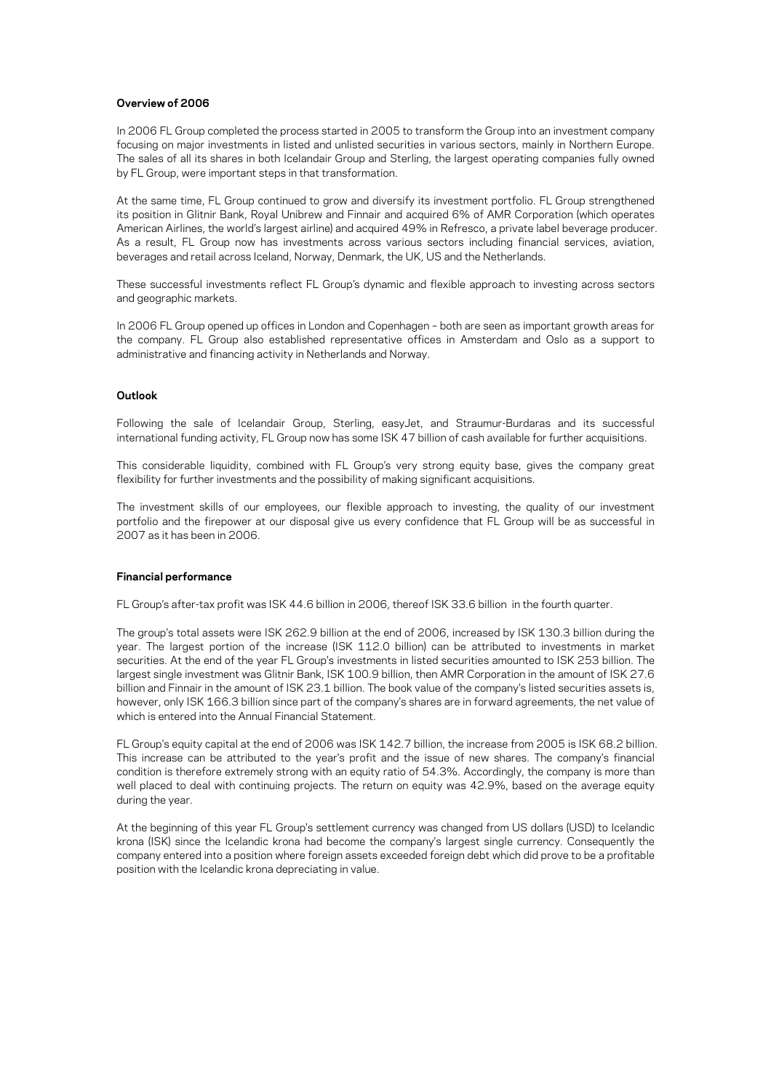# **Overview of 2006**

In 2006 FL Group completed the process started in 2005 to transform the Group into an investment company focusing on major investments in listed and unlisted securities in various sectors, mainly in Northern Europe. The sales of all its shares in both Icelandair Group and Sterling, the largest operating companies fully owned by FL Group, were important steps in that transformation.

At the same time, FL Group continued to grow and diversify its investment portfolio. FL Group strengthened its position in Glitnir Bank, Royal Unibrew and Finnair and acquired 6% of AMR Corporation (which operates American Airlines, the world's largest airline) and acquired 49% in Refresco, a private label beverage producer. As a result, FL Group now has investments across various sectors including financial services, aviation, beverages and retail across Iceland, Norway, Denmark, the UK, US and the Netherlands.

These successful investments reflect FL Group's dynamic and flexible approach to investing across sectors and geographic markets.

In 2006 FL Group opened up offices in London and Copenhagen – both are seen as important growth areas for the company. FL Group also established representative offices in Amsterdam and Oslo as a support to administrative and financing activity in Netherlands and Norway.

# **Outlook**

Following the sale of Icelandair Group, Sterling, easyJet, and Straumur-Burdaras and its successful international funding activity, FL Group now has some ISK 47 billion of cash available for further acquisitions.

This considerable liquidity, combined with FL Group's very strong equity base, gives the company great flexibility for further investments and the possibility of making significant acquisitions.

The investment skills of our employees, our flexible approach to investing, the quality of our investment portfolio and the firepower at our disposal give us every confidence that FL Group will be as successful in 2007 as it has been in 2006.

### **Financial performance**

FL Group's after-tax profit was ISK 44.6 billion in 2006, thereof ISK 33.6 billion in the fourth quarter.

The group's total assets were ISK 262.9 billion at the end of 2006, increased by ISK 130.3 billion during the year. The largest portion of the increase (ISK 112.0 billion) can be attributed to investments in market securities. At the end of the year FL Group's investments in listed securities amounted to ISK 253 billion. The largest single investment was Glitnir Bank, ISK 100.9 billion, then AMR Corporation in the amount of ISK 27.6 billion and Finnair in the amount of ISK 23.1 billion. The book value of the company's listed securities assets is, however, only ISK 166.3 billion since part of the company's shares are in forward agreements, the net value of which is entered into the Annual Financial Statement.

FL Group's equity capital at the end of 2006 was ISK 142.7 billion, the increase from 2005 is ISK 68.2 billion. This increase can be attributed to the year's profit and the issue of new shares. The company's financial condition is therefore extremely strong with an equity ratio of 54.3%. Accordingly, the company is more than well placed to deal with continuing projects. The return on equity was 42.9%, based on the average equity during the year.

At the beginning of this year FL Group's settlement currency was changed from US dollars (USD) to Icelandic krona (ISK) since the Icelandic krona had become the company's largest single currency. Consequently the company entered into a position where foreign assets exceeded foreign debt which did prove to be a profitable position with the Icelandic krona depreciating in value.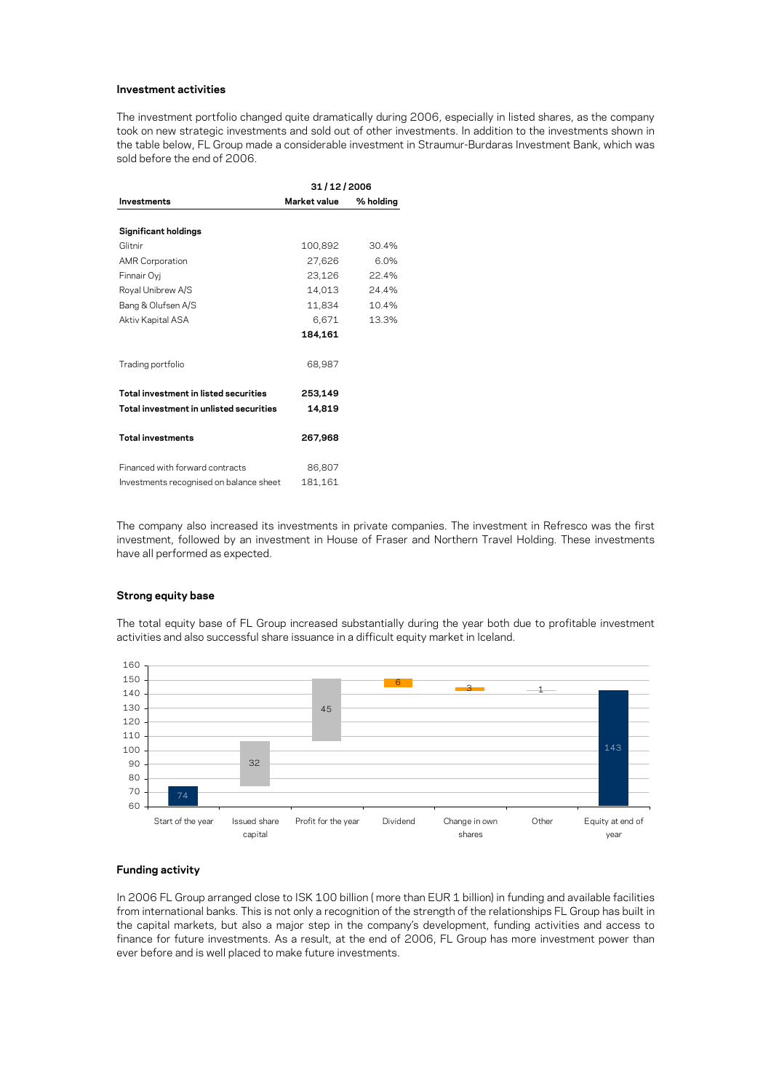#### **Investment activities**

The investment portfolio changed quite dramatically during 2006, especially in listed shares, as the company took on new strategic investments and sold out of other investments. In addition to the investments shown in the table below, FL Group made a considerable investment in Straumur-Burdaras Investment Bank, which was sold before the end of 2006.

|                                         | 31/12/2006   |           |  |  |
|-----------------------------------------|--------------|-----------|--|--|
| Investments                             | Market value | % holding |  |  |
|                                         |              |           |  |  |
| <b>Significant holdings</b>             |              |           |  |  |
| Glitnir                                 | 100,892      | 30.4%     |  |  |
| <b>AMR Corporation</b>                  | 27,626       | 6.0%      |  |  |
| Finnair Oyj                             | 23,126       | 22.4%     |  |  |
| Royal Unibrew A/S                       | 14,013       | 24.4%     |  |  |
| Bang & Olufsen A/S                      | 11,834       | 10.4%     |  |  |
| Aktiv Kapital ASA                       | 6,671        | 13.3%     |  |  |
|                                         | 184,161      |           |  |  |
| Trading portfolio                       | 68,987       |           |  |  |
| Total investment in listed securities   | 253.149      |           |  |  |
| Total investment in unlisted securities | 14,819       |           |  |  |
| <b>Total investments</b>                | 267,968      |           |  |  |
| Financed with forward contracts         | 86,807       |           |  |  |
| Investments recognised on balance sheet | 181,161      |           |  |  |

The company also increased its investments in private companies. The investment in Refresco was the first investment, followed by an investment in House of Fraser and Northern Travel Holding. These investments have all performed as expected.

#### **Strong equity base**

The total equity base of FL Group increased substantially during the year both due to profitable investment activities and also successful share issuance in a difficult equity market in Iceland.



# **Funding activity**

In 2006 FL Group arranged close to ISK 100 billion ( more than EUR 1 billion) in funding and available facilities from international banks. This is not only a recognition of the strength of the relationships FL Group has built in the capital markets, but also a major step in the company's development, funding activities and access to finance for future investments. As a result, at the end of 2006, FL Group has more investment power than ever before and is well placed to make future investments.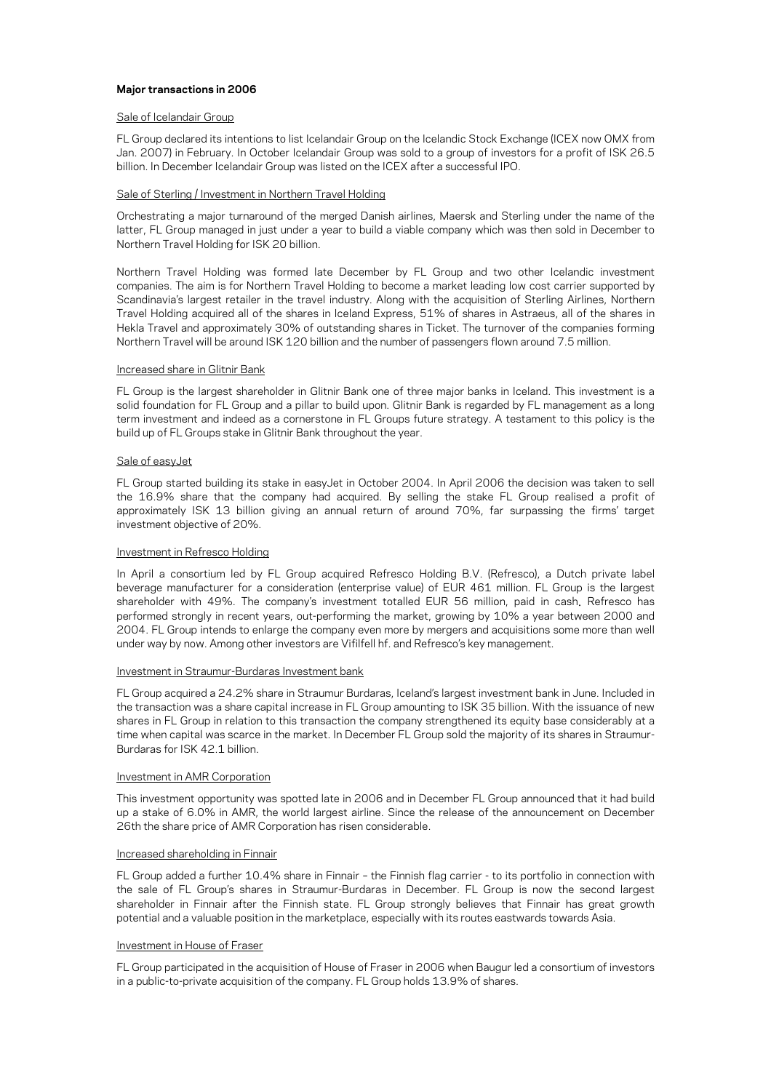# **Major transactions in 2006**

### Sale of Icelandair Group

FL Group declared its intentions to list Icelandair Group on the Icelandic Stock Exchange (ICEX now OMX from Jan. 2007) in February. In October Icelandair Group was sold to a group of investors for a profit of ISK 26.5 billion. In December Icelandair Group was listed on the ICEX after a successful IPO.

# Sale of Sterling / Investment in Northern Travel Holding

Orchestrating a major turnaround of the merged Danish airlines, Maersk and Sterling under the name of the latter, FL Group managed in just under a year to build a viable company which was then sold in December to Northern Travel Holding for ISK 20 billion.

Northern Travel Holding was formed late December by FL Group and two other Icelandic investment companies. The aim is for Northern Travel Holding to become a market leading low cost carrier supported by Scandinavia's largest retailer in the travel industry. Along with the acquisition of Sterling Airlines, Northern Travel Holding acquired all of the shares in Iceland Express, 51% of shares in Astraeus, all of the shares in Hekla Travel and approximately 30% of outstanding shares in Ticket. The turnover of the companies forming Northern Travel will be around ISK 120 billion and the number of passengers flown around 7.5 million.

# Increased share in Glitnir Bank

FL Group is the largest shareholder in Glitnir Bank one of three major banks in Iceland. This investment is a solid foundation for FL Group and a pillar to build upon. Glitnir Bank is regarded by FL management as a long term investment and indeed as a cornerstone in FL Groups future strategy. A testament to this policy is the build up of FL Groups stake in Glitnir Bank throughout the year.

# Sale of easyJet

FL Group started building its stake in easyJet in October 2004. In April 2006 the decision was taken to sell the 16.9% share that the company had acquired. By selling the stake FL Group realised a profit of approximately ISK 13 billion giving an annual return of around 70%, far surpassing the firms' target investment objective of 20%.

# Investment in Refresco Holding

In April a consortium led by FL Group acquired Refresco Holding B.V. (Refresco), a Dutch private label beverage manufacturer for a consideration (enterprise value) of EUR 461 million. FL Group is the largest shareholder with 49%. The company's investment totalled EUR 56 million, paid in cash. Refresco has performed strongly in recent years, out-performing the market, growing by 10% a year between 2000 and 2004. FL Group intends to enlarge the company even more by mergers and acquisitions some more than well under way by now. Among other investors are Vifilfell hf. and Refresco's key management.

### Investment in Straumur-Burdaras Investment bank

FL Group acquired a 24.2% share in Straumur Burdaras, Iceland's largest investment bank in June. Included in the transaction was a share capital increase in FL Group amounting to ISK 35 billion. With the issuance of new shares in FL Group in relation to this transaction the company strengthened its equity base considerably at a time when capital was scarce in the market. In December FL Group sold the majority of its shares in Straumur-Burdaras for ISK 42.1 billion.

# Investment in AMR Corporation

This investment opportunity was spotted late in 2006 and in December FL Group announced that it had build up a stake of 6.0% in AMR, the world largest airline. Since the release of the announcement on December 26th the share price of AMR Corporation has risen considerable.

# Increased shareholding in Finnair

FL Group added a further 10.4% share in Finnair – the Finnish flag carrier - to its portfolio in connection with the sale of FL Group's shares in Straumur-Burdaras in December. FL Group is now the second largest shareholder in Finnair after the Finnish state. FL Group strongly believes that Finnair has great growth potential and a valuable position in the marketplace, especially with its routes eastwards towards Asia.

# Investment in House of Fraser

FL Group participated in the acquisition of House of Fraser in 2006 when Baugur led a consortium of investors in a public-to-private acquisition of the company. FL Group holds 13.9% of shares.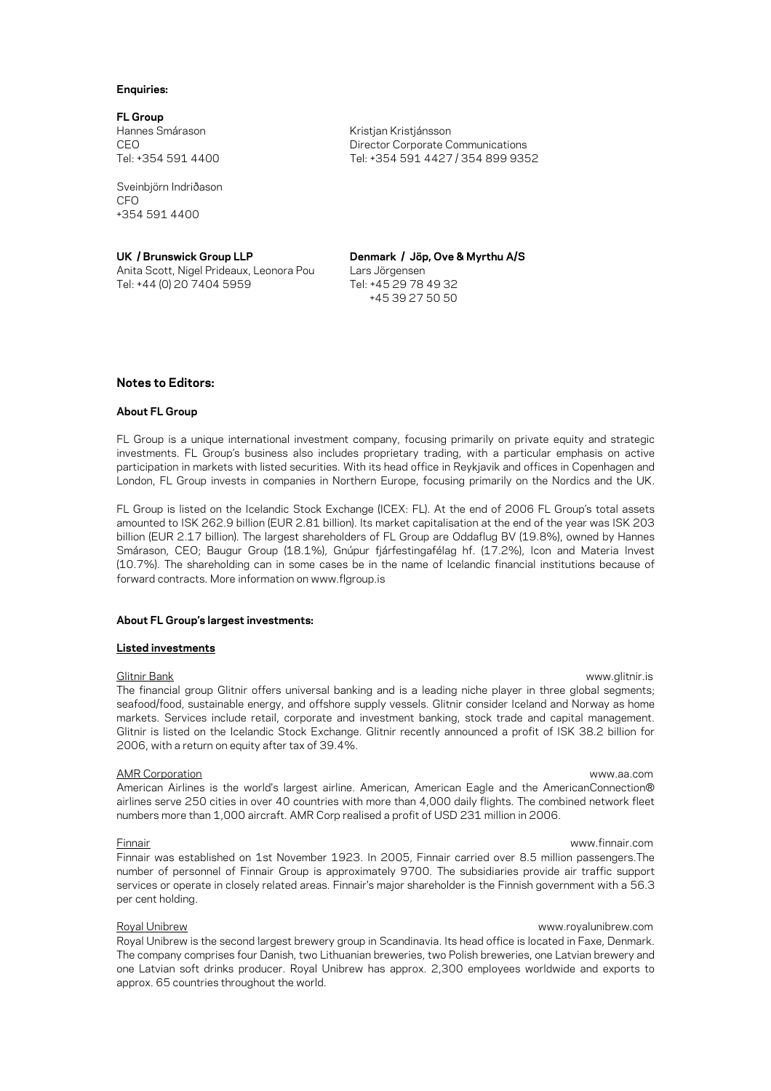#### **Enquiries:**

**FL Group**  Hannes Smárason Kristjan Kristjánsson

Sveinbjörn Indriðason CEO +354 591 4400

Anita Scott, Nigel Prideaux, Leonora Pou Lars Jörgensen Tel: +44 (0) 20 7404 5959 Tel: +45 29 78 49 32

CEO Director Corporate Communications Tel: +354 591 4400 Tel: +354 591 4427 / 354 899 9352

**UK / Brunswick Group LLP Denmark / Jöp, Ove & Myrthu A/S** +45 39 27 50 50

# **Notes to Editors:**

### **About FL Group**

FL Group is a unique international investment company, focusing primarily on private equity and strategic investments. FL Group's business also includes proprietary trading, with a particular emphasis on active participation in markets with listed securities. With its head office in Reykjavik and offices in Copenhagen and London, FL Group invests in companies in Northern Europe, focusing primarily on the Nordics and the UK.

FL Group is listed on the Icelandic Stock Exchange (ICEX: FL). At the end of 2006 FL Group's total assets amounted to ISK 262.9 billion (EUR 2.81 billion). Its market capitalisation at the end of the year was ISK 203 billion (EUR 2.17 billion). The largest shareholders of FL Group are Oddaflug BV (19.8%), owned by Hannes Smárason, CEO; Baugur Group (18.1%), Gnúpur fjárfestingafélag hf. (17.2%), Icon and Materia Invest (10.7%). The shareholding can in some cases be in the name of Icelandic financial institutions because of forward contracts. More information on www.flgroup.is

### **About FL Group's largest investments:**

# **Listed investments**

The financial group Glitnir offers universal banking and is a leading niche player in three global segments; seafood/food, sustainable energy, and offshore supply vessels. Glitnir consider Iceland and Norway as home markets. Services include retail, corporate and investment banking, stock trade and capital management. Glitnir is listed on the Icelandic Stock Exchange. Glitnir recently announced a profit of ISK 38.2 billion for 2006, with a return on equity after tax of 39.4%.

### AMR Corporation www.aa.com

American Airlines is the world's largest airline. American, American Eagle and the AmericanConnection® airlines serve 250 cities in over 40 countries with more than 4,000 daily flights. The combined network fleet numbers more than 1,000 aircraft. AMR Corp realised a profit of USD 231 million in 2006.

### Finnair www.finnair.com

Finnair was established on 1st November 1923. In 2005, Finnair carried over 8.5 million passengers.The number of personnel of Finnair Group is approximately 9700. The subsidiaries provide air traffic support services or operate in closely related areas. Finnair's major shareholder is the Finnish government with a 56.3 per cent holding.

# Royal Unibrew www.royalunibrew.com

Royal Unibrew is the second largest brewery group in Scandinavia. Its head office is located in Faxe, Denmark. The company comprises four Danish, two Lithuanian breweries, two Polish breweries, one Latvian brewery and one Latvian soft drinks producer. Royal Unibrew has approx. 2,300 employees worldwide and exports to approx. 65 countries throughout the world.

# Glitnir Bank [www.glitnir.is](http://www.glitnir.is/)